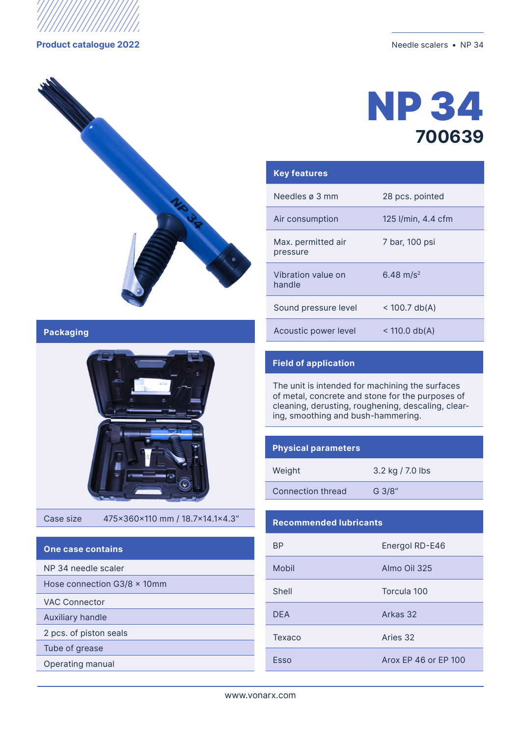

**Product catalogue 2022** Needle scalers • NP 34



# NP 34 **700639**

| <b>Key features</b>            |                       |
|--------------------------------|-----------------------|
| Needles ø 3 mm                 | 28 pcs. pointed       |
| Air consumption                | 125 I/min, 4.4 cfm    |
| Max. permitted air<br>pressure | 7 bar, 100 psi        |
| Vibration value on<br>handle   | 6.48 m/s <sup>2</sup> |
| Sound pressure level           | $<$ 100.7 db(A)       |
| Acoustic power level           | $<$ 110.0 db(A)       |

#### **Packaging**



Case size 475x360x110 mm / 18.7x14.1x4.3"

| <b>One case contains</b>            |
|-------------------------------------|
| NP 34 needle scaler                 |
| Hose connection $G3/8 \times 10$ mm |
| VAC Connector                       |
| Auxiliary handle                    |
| 2 pcs. of piston seals              |
| Tube of grease                      |
| <b>Operating manual</b>             |

### **Field of application**

The unit is intended for machining the surfaces of metal, concrete and stone for the purposes of cleaning, derusting, roughening, descaling, clearing, smoothing and bush-hammering.

#### **Physical parameters**

| Weight            | 3.2 kg / 7.0 lbs |
|-------------------|------------------|
| Connection thread | G 3/8"           |

#### **Recommended lubricants**

| <b>BP</b>  | Energol RD-E46       |
|------------|----------------------|
| Mobil      | Almo Oil 325         |
| Shell      | Torcula 100          |
| <b>DFA</b> | Arkas 32             |
| Texaco     | Aries 32             |
| Esso       | Arox FP 46 or FP 100 |